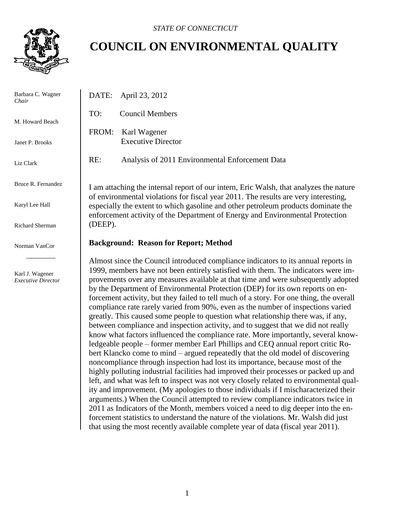

Barbara C. Wag *Chair*

 $\mathbf{I}$ 

M. Howard Bea

Janet P. Brooks

Liz Clark

Bruce R. Fernan

Karyl Lee Hall

**Richard Sherma** 

Norman VanCor

Karl J. Wagener *Executive Direct* 

## **COUNCIL ON ENVIRONMENTAL QUALITY**

| ner                             | April 23, 2012<br>DATE:                                                                                                                                                                                                                                                                                                                                                                                                                                                                                                                                                                                                                                                                                                                                                                                                                                                                                                                                                                                                                                                                                                                     |
|---------------------------------|---------------------------------------------------------------------------------------------------------------------------------------------------------------------------------------------------------------------------------------------------------------------------------------------------------------------------------------------------------------------------------------------------------------------------------------------------------------------------------------------------------------------------------------------------------------------------------------------------------------------------------------------------------------------------------------------------------------------------------------------------------------------------------------------------------------------------------------------------------------------------------------------------------------------------------------------------------------------------------------------------------------------------------------------------------------------------------------------------------------------------------------------|
| ch                              | TO:<br><b>Council Members</b>                                                                                                                                                                                                                                                                                                                                                                                                                                                                                                                                                                                                                                                                                                                                                                                                                                                                                                                                                                                                                                                                                                               |
|                                 | FROM:<br>Karl Wagener<br><b>Executive Director</b>                                                                                                                                                                                                                                                                                                                                                                                                                                                                                                                                                                                                                                                                                                                                                                                                                                                                                                                                                                                                                                                                                          |
|                                 | RE:<br>Analysis of 2011 Environmental Enforcement Data                                                                                                                                                                                                                                                                                                                                                                                                                                                                                                                                                                                                                                                                                                                                                                                                                                                                                                                                                                                                                                                                                      |
| dez<br>n                        | I am attaching the internal report of our intern, Eric Walsh, that analyzes the nature<br>of environmental violations for fiscal year 2011. The results are very interesting,<br>especially the extent to which gasoline and other petroleum products dominate the<br>enforcement activity of the Department of Energy and Environmental Protection<br>(DEEP).                                                                                                                                                                                                                                                                                                                                                                                                                                                                                                                                                                                                                                                                                                                                                                              |
| r                               | <b>Background: Reason for Report; Method</b>                                                                                                                                                                                                                                                                                                                                                                                                                                                                                                                                                                                                                                                                                                                                                                                                                                                                                                                                                                                                                                                                                                |
| $\overline{\phantom{a}}$<br>tor | Almost since the Council introduced compliance indicators to its annual reports in<br>1999, members have not been entirely satisfied with them. The indicators were im-<br>provements over any measures available at that time and were subsequently adopted<br>by the Department of Environmental Protection (DEP) for its own reports on en-<br>forcement activity, but they failed to tell much of a story. For one thing, the overall<br>compliance rate rarely varied from 90%, even as the number of inspections varied<br>greatly. This caused some people to question what relationship there was, if any,<br>between compliance and inspection activity, and to suggest that we did not really<br>know what factors influenced the compliance rate. More importantly, several know-<br>ledgeable people – former member Earl Phillips and CEQ annual report critic Ro-<br>bert Klancko come to mind – argued repeatedly that the old model of discovering<br>noncompliance through inspection had lost its importance, because most of the<br>highly polluting industrial facilities had improved their processes or packed up and |

left, and what was left to inspect was not very closely related to environmental quality and improvement. (My apologies to those individuals if I mischaracterized their arguments.) When the Council attempted to review compliance indicators twice in 2011 as Indicators of the Month, members voiced a need to dig deeper into the enforcement statistics to understand the nature of the violations. Mr. Walsh did just that using the most recently available complete year of data (fiscal year 2011).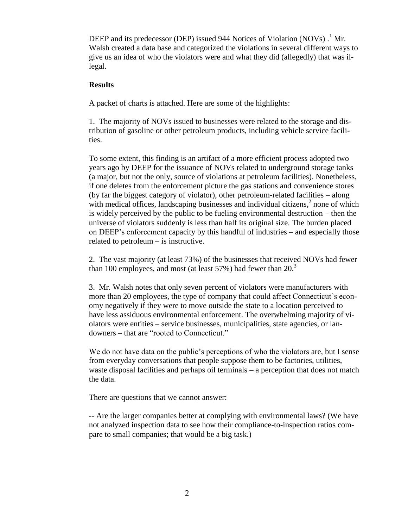DEEP and its predecessor (DEP) issued 944 Notices of Violation (NOVs).<sup>1</sup> Mr. Walsh created a data base and categorized the violations in several different ways to give us an idea of who the violators were and what they did (allegedly) that was illegal.

## **Results**

A packet of charts is attached. Here are some of the highlights:

1. The majority of NOVs issued to businesses were related to the storage and distribution of gasoline or other petroleum products, including vehicle service facilities.

To some extent, this finding is an artifact of a more efficient process adopted two years ago by DEEP for the issuance of NOVs related to underground storage tanks (a major, but not the only, source of violations at petroleum facilities). Nonetheless, if one deletes from the enforcement picture the gas stations and convenience stores (by far the biggest category of violator), other petroleum-related facilities – along with medical offices, landscaping businesses and individual citizens,<sup>2</sup> none of which is widely perceived by the public to be fueling environmental destruction – then the universe of violators suddenly is less than half its original size. The burden placed on DEEP's enforcement capacity by this handful of industries – and especially those related to petroleum – is instructive.

2. The vast majority (at least 73%) of the businesses that received NOVs had fewer than 100 employees, and most (at least 57%) had fewer than  $20<sup>3</sup>$ 

3. Mr. Walsh notes that only seven percent of violators were manufacturers with more than 20 employees, the type of company that could affect Connecticut's economy negatively if they were to move outside the state to a location perceived to have less assiduous environmental enforcement. The overwhelming majority of violators were entities – service businesses, municipalities, state agencies, or landowners – that are "rooted to Connecticut."

We do not have data on the public's perceptions of who the violators are, but I sense from everyday conversations that people suppose them to be factories, utilities, waste disposal facilities and perhaps oil terminals – a perception that does not match the data.

There are questions that we cannot answer:

-- Are the larger companies better at complying with environmental laws? (We have not analyzed inspection data to see how their compliance-to-inspection ratios compare to small companies; that would be a big task.)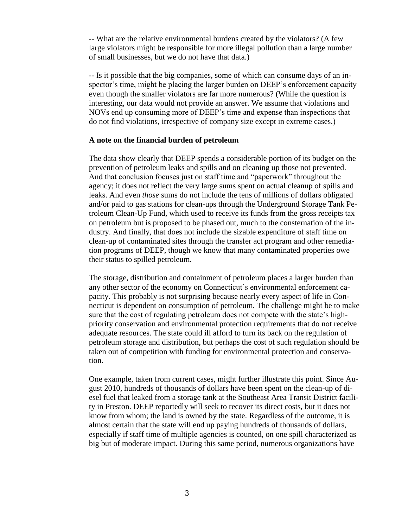-- What are the relative environmental burdens created by the violators? (A few large violators might be responsible for more illegal pollution than a large number of small businesses, but we do not have that data.)

-- Is it possible that the big companies, some of which can consume days of an inspector's time, might be placing the larger burden on DEEP's enforcement capacity even though the smaller violators are far more numerous? (While the question is interesting, our data would not provide an answer. We assume that violations and NOVs end up consuming more of DEEP's time and expense than inspections that do not find violations, irrespective of company size except in extreme cases.)

## **A note on the financial burden of petroleum**

The data show clearly that DEEP spends a considerable portion of its budget on the prevention of petroleum leaks and spills and on cleaning up those not prevented. And that conclusion focuses just on staff time and "paperwork" throughout the agency; it does not reflect the very large sums spent on actual cleanup of spills and leaks. And even *those* sums do not include the tens of millions of dollars obligated and/or paid to gas stations for clean-ups through the Underground Storage Tank Petroleum Clean-Up Fund, which used to receive its funds from the gross receipts tax on petroleum but is proposed to be phased out, much to the consternation of the industry. And finally, that does not include the sizable expenditure of staff time on clean-up of contaminated sites through the transfer act program and other remediation programs of DEEP, though we know that many contaminated properties owe their status to spilled petroleum.

The storage, distribution and containment of petroleum places a larger burden than any other sector of the economy on Connecticut's environmental enforcement capacity. This probably is not surprising because nearly every aspect of life in Connecticut is dependent on consumption of petroleum. The challenge might be to make sure that the cost of regulating petroleum does not compete with the state's highpriority conservation and environmental protection requirements that do not receive adequate resources. The state could ill afford to turn its back on the regulation of petroleum storage and distribution, but perhaps the cost of such regulation should be taken out of competition with funding for environmental protection and conservation.

One example, taken from current cases, might further illustrate this point. Since August 2010, hundreds of thousands of dollars have been spent on the clean-up of diesel fuel that leaked from a storage tank at the Southeast Area Transit District facility in Preston. DEEP reportedly will seek to recover its direct costs, but it does not know from whom; the land is owned by the state. Regardless of the outcome, it is almost certain that the state will end up paying hundreds of thousands of dollars, especially if staff time of multiple agencies is counted, on one spill characterized as big but of moderate impact. During this same period, numerous organizations have